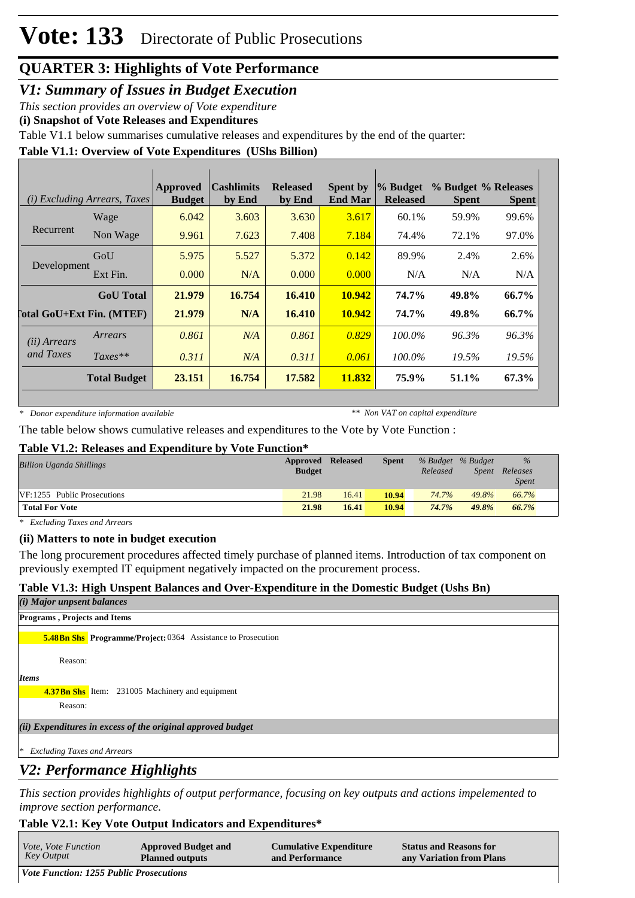*V1: Summary of Issues in Budget Execution*

*This section provides an overview of Vote expenditure* 

**(i) Snapshot of Vote Releases and Expenditures**

Table V1.1 below summarises cumulative releases and expenditures by the end of the quarter:

### **Table V1.1: Overview of Vote Expenditures (UShs Billion)**

|                       | <i>(i)</i> Excluding Arrears, Taxes | Approved<br><b>Budget</b> | <b>Cashlimits</b><br>by End | <b>Released</b><br>by End | <b>Spent by</b><br><b>End Mar</b> | % Budget<br><b>Released</b> | % Budget % Releases<br><b>Spent</b> | <b>Spent</b> |
|-----------------------|-------------------------------------|---------------------------|-----------------------------|---------------------------|-----------------------------------|-----------------------------|-------------------------------------|--------------|
|                       | Wage                                | 6.042                     | 3.603                       | 3.630                     | 3.617                             | 60.1%                       | 59.9%                               | 99.6%        |
| Recurrent             | Non Wage                            | 9.961                     | 7.623                       | 7.408                     | 7.184                             | 74.4%                       | 72.1%                               | 97.0%        |
| Development           | GoU                                 | 5.975                     | 5.527                       | 5.372                     | 0.142                             | 89.9%                       | 2.4%                                | 2.6%         |
|                       | Ext Fin.                            | 0.000                     | N/A                         | 0.000                     | 0.000                             | N/A                         | N/A                                 | N/A          |
|                       | <b>GoU</b> Total                    | 21.979                    | 16.754                      | 16.410                    | 10.942                            | 74.7%                       | 49.8%                               | 66.7%        |
|                       | <b>Total GoU+Ext Fin. (MTEF)</b>    | 21.979                    | N/A                         | 16.410                    | 10.942                            | 74.7%                       | 49.8%                               | 66.7%        |
| ( <i>ii</i> ) Arrears | Arrears                             | 0.861                     | N/A                         | 0.861                     | 0.829                             | $100.0\%$                   | 96.3%                               | 96.3%        |
| and Taxes             | $Taxes**$                           | 0.311                     | N/A                         | 0.311                     | 0.061                             | 100.0%                      | 19.5%                               | 19.5%        |
|                       | <b>Total Budget</b>                 | 23.151                    | 16.754                      | 17.582                    | 11.832                            | 75.9%                       | 51.1%                               | 67.3%        |

*\* Donor expenditure information available*

*\*\* Non VAT on capital expenditure*

The table below shows cumulative releases and expenditures to the Vote by Vote Function :

#### **Table V1.2: Releases and Expenditure by Vote Function\***

| <b>Billion Uganda Shillings</b> | Approved      | <b>Released</b> | <b>Spent</b> |          | % Budget % Budget | $\%$         |
|---------------------------------|---------------|-----------------|--------------|----------|-------------------|--------------|
|                                 | <b>Budget</b> |                 |              | Released | Spent             | Releases     |
|                                 |               |                 |              |          |                   | <i>Spent</i> |
| VF:1255 Public Prosecutions     | 21.98         | 16.41           | 10.94        | 74.7%    | 49.8%             | 66.7%        |
| <b>Total For Vote</b>           | 21.98         | 16.41           | 10.94        | 74.7%    | 49.8%             | 66.7%        |

*\* Excluding Taxes and Arrears*

### **(ii) Matters to note in budget execution**

The long procurement procedures affected timely purchase of planned items. Introduction of tax component on previously exempted IT equipment negatively impacted on the procurement process.

### **Table V1.3: High Unspent Balances and Over-Expenditure in the Domestic Budget (Ushs Bn)**

| (i) Major unpsent balances                                          |
|---------------------------------------------------------------------|
| <b>Programs, Projects and Items</b>                                 |
| <b>5.48Bn Shs</b> Programme/Project: 0364 Assistance to Prosecution |
| Reason:                                                             |
| <b>Items</b>                                                        |
| <b>4.37Bn Shs</b> Item: 231005 Machinery and equipment              |
| Reason:                                                             |
| (ii) Expenditures in excess of the original approved budget         |
| <b>Excluding Taxes and Arrears</b><br>$\ast$<br>--- -- - -          |

### *V2: Performance Highlights*

**Output: 125501 Criminal Prosecutions**

*This section provides highlights of output performance, focusing on key outputs and actions impelemented to improve section performance.*

### **Table V2.1: Key Vote Output Indicators and Expenditures\***

| <i>Vote, Vote Function</i>                     | <b>Approved Budget and</b> | <b>Cumulative Expenditure</b> | <b>Status and Reasons for</b> |  |  |  |
|------------------------------------------------|----------------------------|-------------------------------|-------------------------------|--|--|--|
| Key Output                                     | <b>Planned outputs</b>     | and Performance               | any Variation from Plans      |  |  |  |
| <b>Vote Function: 1255 Public Prosecutions</b> |                            |                               |                               |  |  |  |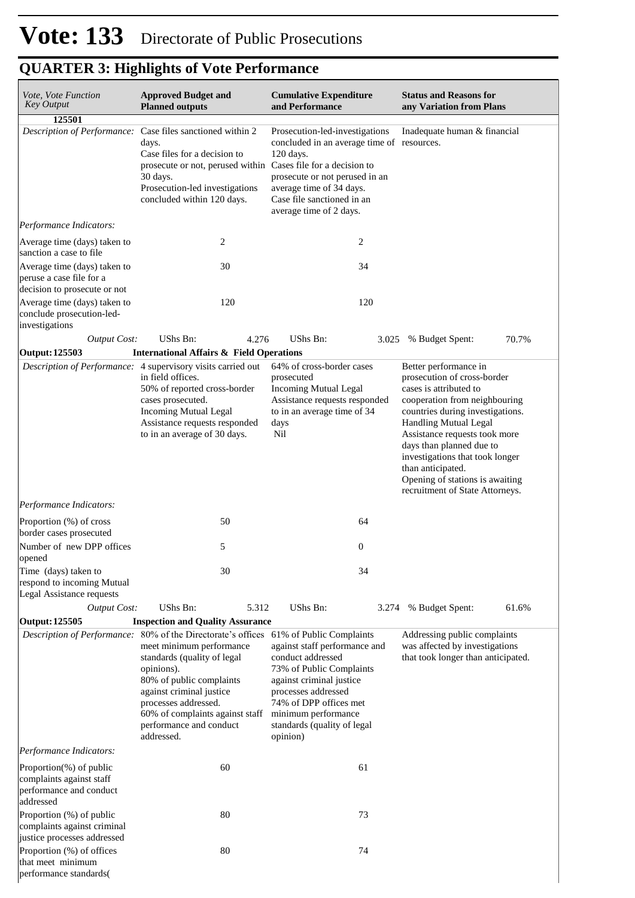| <b>Approved Budget and</b><br>Vote, Vote Function<br><b>Key Output</b><br><b>Planned outputs</b>            |                                                                                                                                                                                                                                                                       |       | <b>Cumulative Expenditure</b><br>and Performance                                                                                                                                                                                                                                  |                  | <b>Status and Reasons for</b><br>any Variation from Plans                                                                                                                                                                                                                                                                                                                      |       |  |
|-------------------------------------------------------------------------------------------------------------|-----------------------------------------------------------------------------------------------------------------------------------------------------------------------------------------------------------------------------------------------------------------------|-------|-----------------------------------------------------------------------------------------------------------------------------------------------------------------------------------------------------------------------------------------------------------------------------------|------------------|--------------------------------------------------------------------------------------------------------------------------------------------------------------------------------------------------------------------------------------------------------------------------------------------------------------------------------------------------------------------------------|-------|--|
| 125501                                                                                                      |                                                                                                                                                                                                                                                                       |       |                                                                                                                                                                                                                                                                                   |                  |                                                                                                                                                                                                                                                                                                                                                                                |       |  |
| Description of Performance:                                                                                 | Case files sanctioned within 2<br>days.<br>Case files for a decision to<br>30 days.<br>Prosecution-led investigations<br>concluded within 120 days.                                                                                                                   |       | Prosecution-led-investigations<br>concluded in an average time of resources.<br>120 days.<br>prosecute or not, perused within Cases file for a decision to<br>prosecute or not perused in an<br>average time of 34 days.<br>Case file sanctioned in an<br>average time of 2 days. |                  | Inadequate human & financial                                                                                                                                                                                                                                                                                                                                                   |       |  |
| Performance Indicators:                                                                                     |                                                                                                                                                                                                                                                                       |       |                                                                                                                                                                                                                                                                                   |                  |                                                                                                                                                                                                                                                                                                                                                                                |       |  |
| Average time (days) taken to<br>sanction a case to file                                                     |                                                                                                                                                                                                                                                                       | 2     |                                                                                                                                                                                                                                                                                   | 2                |                                                                                                                                                                                                                                                                                                                                                                                |       |  |
| Average time (days) taken to<br>peruse a case file for a                                                    |                                                                                                                                                                                                                                                                       | 30    |                                                                                                                                                                                                                                                                                   | 34               |                                                                                                                                                                                                                                                                                                                                                                                |       |  |
| decision to prosecute or not<br>Average time (days) taken to<br>conclude prosecution-led-<br>investigations |                                                                                                                                                                                                                                                                       | 120   |                                                                                                                                                                                                                                                                                   | 120              |                                                                                                                                                                                                                                                                                                                                                                                |       |  |
| <b>Output Cost:</b>                                                                                         | UShs Bn:                                                                                                                                                                                                                                                              | 4.276 | UShs Bn:                                                                                                                                                                                                                                                                          | 3.025            | % Budget Spent:                                                                                                                                                                                                                                                                                                                                                                | 70.7% |  |
| Output: 125503                                                                                              | <b>International Affairs &amp; Field Operations</b>                                                                                                                                                                                                                   |       |                                                                                                                                                                                                                                                                                   |                  |                                                                                                                                                                                                                                                                                                                                                                                |       |  |
| Description of Performance: 4 supervisory visits carried out                                                | in field offices.<br>50% of reported cross-border<br>cases prosecuted.<br><b>Incoming Mutual Legal</b><br>Assistance requests responded<br>to in an average of 30 days.                                                                                               |       | 64% of cross-border cases<br>prosecuted<br><b>Incoming Mutual Legal</b><br>Assistance requests responded<br>to in an average time of 34<br>days<br>Nil                                                                                                                            |                  | Better performance in<br>prosecution of cross-border<br>cases is attributed to<br>cooperation from neighbouring<br>countries during investigations.<br><b>Handling Mutual Legal</b><br>Assistance requests took more<br>days than planned due to<br>investigations that took longer<br>than anticipated.<br>Opening of stations is awaiting<br>recruitment of State Attorneys. |       |  |
| Performance Indicators:                                                                                     |                                                                                                                                                                                                                                                                       |       |                                                                                                                                                                                                                                                                                   |                  |                                                                                                                                                                                                                                                                                                                                                                                |       |  |
| Proportion (%) of cross                                                                                     |                                                                                                                                                                                                                                                                       | 50    |                                                                                                                                                                                                                                                                                   | 64               |                                                                                                                                                                                                                                                                                                                                                                                |       |  |
| border cases prosecuted<br>Number of new DPP offices<br>opened                                              |                                                                                                                                                                                                                                                                       | 5     |                                                                                                                                                                                                                                                                                   | $\boldsymbol{0}$ |                                                                                                                                                                                                                                                                                                                                                                                |       |  |
| Time (days) taken to<br>respond to incoming Mutual<br>Legal Assistance requests                             |                                                                                                                                                                                                                                                                       | 30    |                                                                                                                                                                                                                                                                                   | 34               |                                                                                                                                                                                                                                                                                                                                                                                |       |  |
| <b>Output Cost:</b>                                                                                         | UShs Bn:                                                                                                                                                                                                                                                              | 5.312 | UShs Bn:                                                                                                                                                                                                                                                                          | 3.274            | % Budget Spent:                                                                                                                                                                                                                                                                                                                                                                | 61.6% |  |
| <b>Output: 125505</b>                                                                                       | <b>Inspection and Quality Assurance</b>                                                                                                                                                                                                                               |       |                                                                                                                                                                                                                                                                                   |                  |                                                                                                                                                                                                                                                                                                                                                                                |       |  |
| <b>Description of Performance:</b>                                                                          | 80% of the Directorate's offices<br>meet minimum performance<br>standards (quality of legal<br>opinions).<br>80% of public complaints<br>against criminal justice<br>processes addressed.<br>60% of complaints against staff<br>performance and conduct<br>addressed. |       | 61% of Public Complaints<br>against staff performance and<br>conduct addressed<br>73% of Public Complaints<br>against criminal justice<br>processes addressed<br>74% of DPP offices met<br>minimum performance<br>standards (quality of legal<br>opinion)                         |                  | Addressing public complaints<br>was affected by investigations<br>that took longer than anticipated.                                                                                                                                                                                                                                                                           |       |  |
| Performance Indicators:                                                                                     |                                                                                                                                                                                                                                                                       |       |                                                                                                                                                                                                                                                                                   |                  |                                                                                                                                                                                                                                                                                                                                                                                |       |  |
| Proportion(%) of public<br>complaints against staff<br>performance and conduct<br>addressed                 |                                                                                                                                                                                                                                                                       | 60    |                                                                                                                                                                                                                                                                                   | 61               |                                                                                                                                                                                                                                                                                                                                                                                |       |  |
| Proportion (%) of public<br>complaints against criminal<br>justice processes addressed                      |                                                                                                                                                                                                                                                                       | 80    |                                                                                                                                                                                                                                                                                   | 73               |                                                                                                                                                                                                                                                                                                                                                                                |       |  |
| Proportion (%) of offices<br>that meet minimum<br>performance standards(                                    |                                                                                                                                                                                                                                                                       | 80    |                                                                                                                                                                                                                                                                                   | 74               |                                                                                                                                                                                                                                                                                                                                                                                |       |  |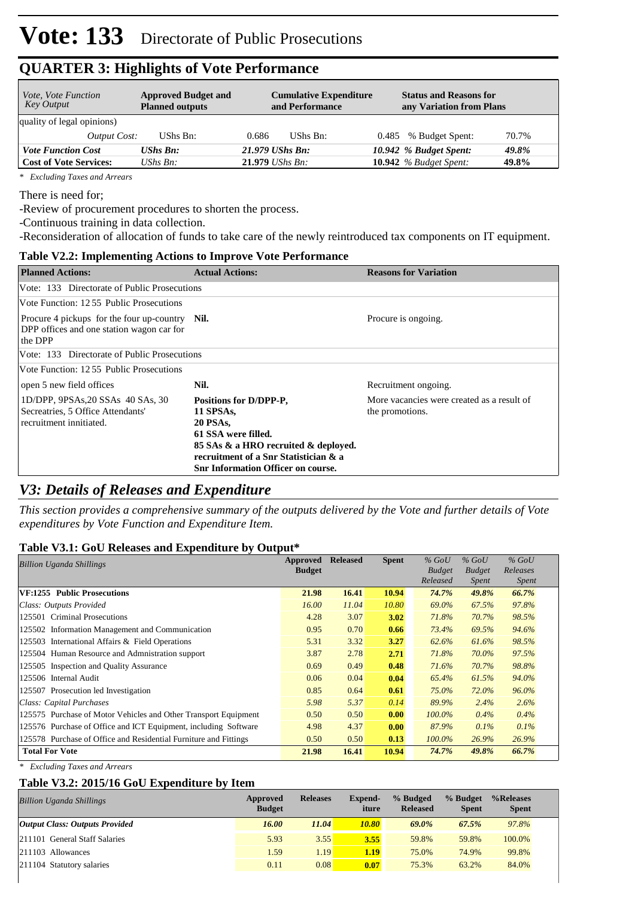| <i>Vote, Vote Function</i><br>Key Output | <b>Approved Budget and</b><br><b>Planned outputs</b> | <b>Cumulative Expenditure</b><br>and Performance | <b>Status and Reasons for</b><br>any Variation from Plans |
|------------------------------------------|------------------------------------------------------|--------------------------------------------------|-----------------------------------------------------------|
| quality of legal opinions)               |                                                      |                                                  |                                                           |
| Output Cost:                             | UShs Bn:                                             | UShs Bn:<br>0.686                                | 70.7%<br>% Budget Spent:<br>0.485                         |
| <b>Vote Function Cost</b>                | $UShs$ $Bn$ :                                        | 21.979 UShs Bn:                                  | 10.942 % Budget Spent:<br>49.8%                           |
| <b>Cost of Vote Services:</b>            | UShs $B_n$ :                                         | $21.979$ UShs Bn:                                | 10.942 $%$ Budget Spent:<br>49.8%                         |

*\* Excluding Taxes and Arrears*

There is need for;

-Review of procurement procedures to shorten the process.

-Continuous training in data collection.

-Reconsideration of allocation of funds to take care of the newly reintroduced tax components on IT equipment.

### **Table V2.2: Implementing Actions to Improve Vote Performance**

| <b>Planned Actions:</b>                                                                                | <b>Actual Actions:</b>                                                                                                                                                                                      | <b>Reasons for Variation</b>                                  |
|--------------------------------------------------------------------------------------------------------|-------------------------------------------------------------------------------------------------------------------------------------------------------------------------------------------------------------|---------------------------------------------------------------|
| Vote: 133 Directorate of Public Prosecutions                                                           |                                                                                                                                                                                                             |                                                               |
| Vote Function: 12.55 Public Prosecutions                                                               |                                                                                                                                                                                                             |                                                               |
| Procure 4 pickups for the four up-country Nil.<br>DPP offices and one station wagon car for<br>the DPP |                                                                                                                                                                                                             | Procure is ongoing.                                           |
| Vote: 133 Directorate of Public Prosecutions                                                           |                                                                                                                                                                                                             |                                                               |
| Vote Function: 12.55 Public Prosecutions                                                               |                                                                                                                                                                                                             |                                                               |
| open 5 new field offices                                                                               | Nil.                                                                                                                                                                                                        | Recruitment ongoing.                                          |
| 1D/DPP, 9PSAs, 20 SSAs 40 SAs, 30<br>Secreatries, 5 Office Attendants'<br>recruitment innitiated.      | Positions for D/DPP-P,<br>11 SPSAs,<br><b>20 PSAs,</b><br>61 SSA were filled.<br>85 SAs & a HRO recruited & deployed.<br>recruitment of a Snr Statistician & a<br><b>Snr Information Officer on course.</b> | More vacancies were created as a result of<br>the promotions. |

### *V3: Details of Releases and Expenditure*

*This section provides a comprehensive summary of the outputs delivered by the Vote and further details of Vote expenditures by Vote Function and Expenditure Item.*

#### **Table V3.1: GoU Releases and Expenditure by Output\***

| Approved<br><b>Billion Uganda Shillings</b>                      |               | <b>Released</b> | <b>Spent</b> | $%$ GoU                   | $%$ GoU                       | $%$ GoU<br>Releases |  |
|------------------------------------------------------------------|---------------|-----------------|--------------|---------------------------|-------------------------------|---------------------|--|
|                                                                  | <b>Budget</b> |                 |              | <b>Budget</b><br>Released | <b>Budget</b><br><i>Spent</i> | <i>Spent</i>        |  |
| VF:1255 Public Prosecutions                                      | 21.98         | 16.41           | 10.94        | 74.7%                     | 49.8%                         | 66.7%               |  |
| Class: Outputs Provided                                          | 16.00         | 11.04           | 10.80        | 69.0%                     | 67.5%                         | 97.8%               |  |
| 125501 Criminal Prosecutions                                     | 4.28          | 3.07            | 3.02         | 71.8%                     | 70.7%                         | 98.5%               |  |
| 125502 Information Management and Communication                  | 0.95          | 0.70            | 0.66         | 73.4%                     | 69.5%                         | 94.6%               |  |
| 125503 International Affairs & Field Operations                  | 5.31          | 3.32            | 3.27         | 62.6%                     | 61.6%                         | 98.5%               |  |
| 125504 Human Resource and Admnistration support                  | 3.87          | 2.78            | 2.71         | 71.8%                     | 70.0%                         | 97.5%               |  |
| 125505 Inspection and Quality Assurance                          | 0.69          | 0.49            | 0.48         | 71.6%                     | 70.7%                         | 98.8%               |  |
| 125506 Internal Audit                                            | 0.06          | 0.04            | 0.04         | 65.4%                     | 61.5%                         | 94.0%               |  |
| 125507 Prosecution led Investigation                             | 0.85          | 0.64            | 0.61         | 75.0%                     | 72.0%                         | 96.0%               |  |
| Class: Capital Purchases                                         | 5.98          | 5.37            | 0.14         | 89.9%                     | 2.4%                          | 2.6%                |  |
| 125575 Purchase of Motor Vehicles and Other Transport Equipment  | 0.50          | 0.50            | 0.00         | $100.0\%$                 | $0.4\%$                       | 0.4%                |  |
| 125576 Purchase of Office and ICT Equipment, including Software  | 4.98          | 4.37            | 0.00         | 87.9%                     | $0.1\%$                       | 0.1%                |  |
| 125578 Purchase of Office and Residential Furniture and Fittings | 0.50          | 0.50            | 0.13         | $100.0\%$                 | 26.9%                         | 26.9%               |  |
| <b>Total For Vote</b>                                            | 21.98         | 16.41           | 10.94        | 74.7%                     | 49.8%                         | 66.7%               |  |

*\* Excluding Taxes and Arrears*

#### **Table V3.2: 2015/16 GoU Expenditure by Item**

| <b>Billion Uganda Shillings</b>       | Approved<br><b>Budget</b> | <b>Releases</b> | Expend-<br>iture | % Budged<br><b>Released</b> | % Budget<br><b>Spent</b> | %Releases<br><b>Spent</b> |
|---------------------------------------|---------------------------|-----------------|------------------|-----------------------------|--------------------------|---------------------------|
| <b>Output Class: Outputs Provided</b> | 16.00                     | 11.04           | 10.80            | 69.0%                       | 67.5%                    | 97.8%                     |
| 211101 General Staff Salaries         | 5.93                      | 3.55            | 3.55             | 59.8%                       | 59.8%                    | 100.0%                    |
| 211103 Allowances                     | 1.59                      | 1.19'           | 1.19             | 75.0%                       | 74.9%                    | 99.8%                     |
| 211104 Statutory salaries             | 0.11                      | 0.08            | 0.07             | 75.3%                       | 63.2%                    | 84.0%                     |